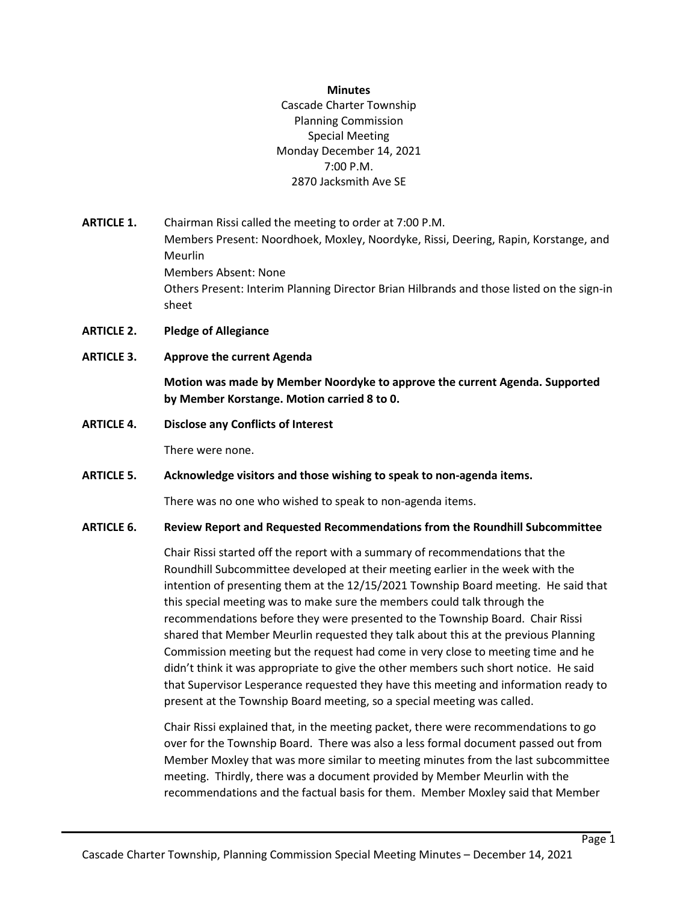## **Minutes**

Cascade Charter Township Planning Commission Special Meeting Monday December 14, 2021 7:00 P.M. 2870 Jacksmith Ave SE

- **ARTICLE 1.** Chairman Rissi called the meeting to order at 7:00 P.M. Members Present: Noordhoek, Moxley, Noordyke, Rissi, Deering, Rapin, Korstange, and Meurlin Members Absent: None Others Present: Interim Planning Director Brian Hilbrands and those listed on the sign-in sheet
- **ARTICLE 2. Pledge of Allegiance**
- **ARTICLE 3. Approve the current Agenda**

**Motion was made by Member Noordyke to approve the current Agenda. Supported by Member Korstange. Motion carried 8 to 0.**

**ARTICLE 4. Disclose any Conflicts of Interest**

There were none.

**ARTICLE 5. Acknowledge visitors and those wishing to speak to non-agenda items.**

There was no one who wished to speak to non-agenda items.

## **ARTICLE 6. Review Report and Requested Recommendations from the Roundhill Subcommittee**

Chair Rissi started off the report with a summary of recommendations that the Roundhill Subcommittee developed at their meeting earlier in the week with the intention of presenting them at the 12/15/2021 Township Board meeting. He said that this special meeting was to make sure the members could talk through the recommendations before they were presented to the Township Board. Chair Rissi shared that Member Meurlin requested they talk about this at the previous Planning Commission meeting but the request had come in very close to meeting time and he didn't think it was appropriate to give the other members such short notice. He said that Supervisor Lesperance requested they have this meeting and information ready to present at the Township Board meeting, so a special meeting was called.

Chair Rissi explained that, in the meeting packet, there were recommendations to go over for the Township Board. There was also a less formal document passed out from Member Moxley that was more similar to meeting minutes from the last subcommittee meeting. Thirdly, there was a document provided by Member Meurlin with the recommendations and the factual basis for them. Member Moxley said that Member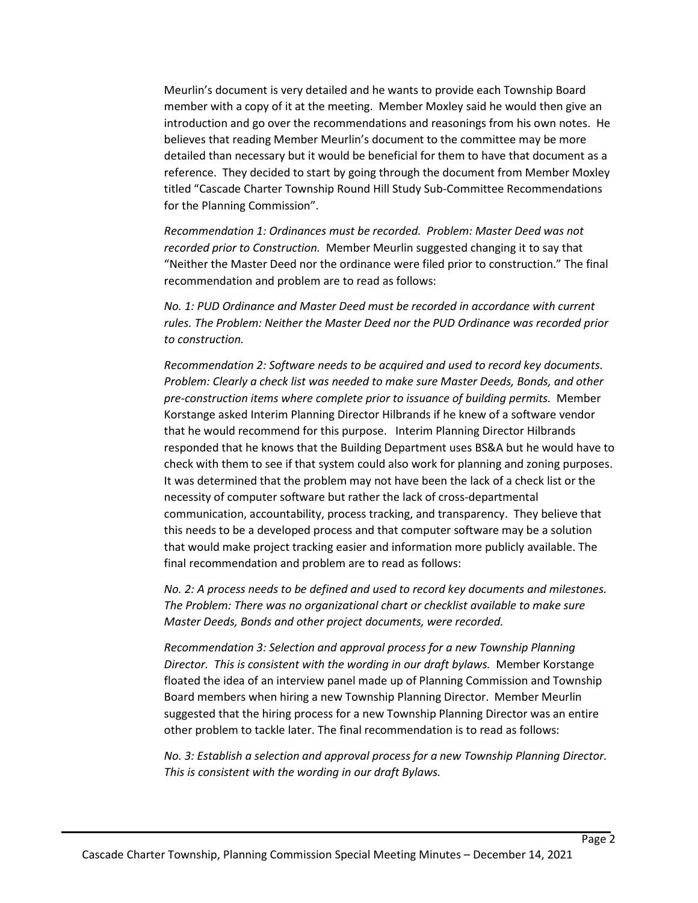Meurlin's document is very detailed and he wants to provide each Township Board member with a copy of it at the meeting. Member Moxley said he would then give an introduction and go over the recommendations and reasonings from his own notes. He believes that reading Member Meurlin's document to the committee may be more detailed than necessary but it would be beneficial for them to have that document as a reference. They decided to start by going through the document from Member Moxley titled "Cascade Charter Township Round Hill Study Sub-Committee Recommendations for the Planning Commission".

*Recommendation 1: Ordinances must be recorded. Problem: Master Deed was not recorded prior to Construction.* Member Meurlin suggested changing it to say that "Neither the Master Deed nor the ordinance were filed prior to construction." The final recommendation and problem are to read as follows:

*No. 1: PUD Ordinance and Master Deed must be recorded in accordance with current rules. The Problem: Neither the Master Deed nor the PUD Ordinance was recorded prior to construction.*

*Recommendation 2: Software needs to be acquired and used to record key documents. Problem: Clearly a check list was needed to make sure Master Deeds, Bonds, and other pre-construction items where complete prior to issuance of building permits.* Member Korstange asked Interim Planning Director Hilbrands if he knew of a software vendor that he would recommend for this purpose. Interim Planning Director Hilbrands responded that he knows that the Building Department uses BS&A but he would have to check with them to see if that system could also work for planning and zoning purposes. It was determined that the problem may not have been the lack of a check list or the necessity of computer software but rather the lack of cross-departmental communication, accountability, process tracking, and transparency. They believe that this needs to be a developed process and that computer software may be a solution that would make project tracking easier and information more publicly available. The final recommendation and problem are to read as follows:

*No. 2: A process needs to be defined and used to record key documents and milestones. The Problem: There was no organizational chart or checklist available to make sure Master Deeds, Bonds and other project documents, were recorded.*

*Recommendation 3: Selection and approval process for a new Township Planning Director. This is consistent with the wording in our draft bylaws.* Member Korstange floated the idea of an interview panel made up of Planning Commission and Township Board members when hiring a new Township Planning Director. Member Meurlin suggested that the hiring process for a new Township Planning Director was an entire other problem to tackle later. The final recommendation is to read as follows:

*No. 3: Establish a selection and approval process for a new Township Planning Director. This is consistent with the wording in our draft Bylaws.*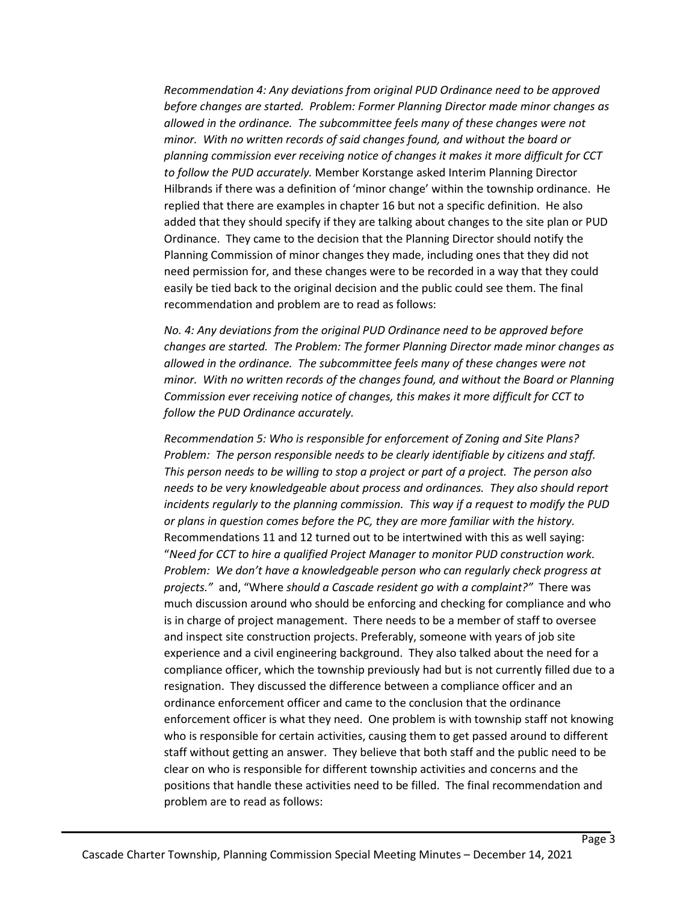*Recommendation 4: Any deviations from original PUD Ordinance need to be approved before changes are started. Problem: Former Planning Director made minor changes as allowed in the ordinance. The subcommittee feels many of these changes were not minor. With no written records of said changes found, and without the board or planning commission ever receiving notice of changes it makes it more difficult for CCT to follow the PUD accurately.* Member Korstange asked Interim Planning Director Hilbrands if there was a definition of 'minor change' within the township ordinance. He replied that there are examples in chapter 16 but not a specific definition. He also added that they should specify if they are talking about changes to the site plan or PUD Ordinance. They came to the decision that the Planning Director should notify the Planning Commission of minor changes they made, including ones that they did not need permission for, and these changes were to be recorded in a way that they could easily be tied back to the original decision and the public could see them. The final recommendation and problem are to read as follows:

*No. 4: Any deviations from the original PUD Ordinance need to be approved before changes are started. The Problem: The former Planning Director made minor changes as allowed in the ordinance. The subcommittee feels many of these changes were not minor. With no written records of the changes found, and without the Board or Planning Commission ever receiving notice of changes, this makes it more difficult for CCT to follow the PUD Ordinance accurately.*

*Recommendation 5: Who is responsible for enforcement of Zoning and Site Plans? Problem: The person responsible needs to be clearly identifiable by citizens and staff. This person needs to be willing to stop a project or part of a project. The person also needs to be very knowledgeable about process and ordinances. They also should report incidents regularly to the planning commission. This way if a request to modify the PUD or plans in question comes before the PC, they are more familiar with the history.*  Recommendations 11 and 12 turned out to be intertwined with this as well saying: "*Need for CCT to hire a qualified Project Manager to monitor PUD construction work. Problem: We don't have a knowledgeable person who can regularly check progress at projects."* and, "Where *should a Cascade resident go with a complaint?"* There was much discussion around who should be enforcing and checking for compliance and who is in charge of project management. There needs to be a member of staff to oversee and inspect site construction projects. Preferably, someone with years of job site experience and a civil engineering background. They also talked about the need for a compliance officer, which the township previously had but is not currently filled due to a resignation. They discussed the difference between a compliance officer and an ordinance enforcement officer and came to the conclusion that the ordinance enforcement officer is what they need. One problem is with township staff not knowing who is responsible for certain activities, causing them to get passed around to different staff without getting an answer. They believe that both staff and the public need to be clear on who is responsible for different township activities and concerns and the positions that handle these activities need to be filled. The final recommendation and problem are to read as follows: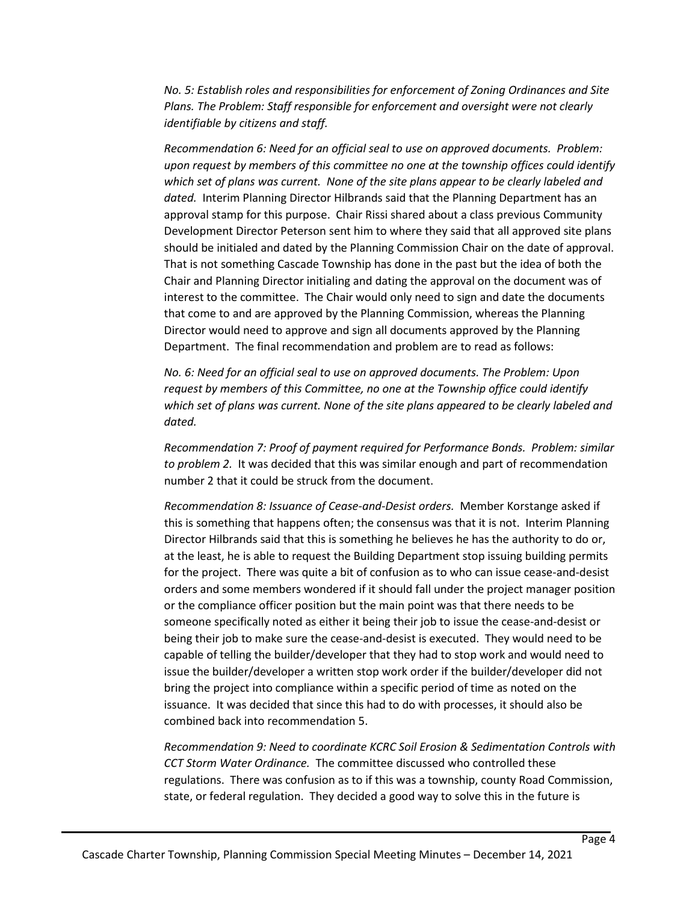*No. 5: Establish roles and responsibilities for enforcement of Zoning Ordinances and Site Plans. The Problem: Staff responsible for enforcement and oversight were not clearly identifiable by citizens and staff.*

*Recommendation 6: Need for an official seal to use on approved documents. Problem: upon request by members of this committee no one at the township offices could identify*  which set of plans was current. None of the site plans appear to be clearly labeled and *dated.* Interim Planning Director Hilbrands said that the Planning Department has an approval stamp for this purpose. Chair Rissi shared about a class previous Community Development Director Peterson sent him to where they said that all approved site plans should be initialed and dated by the Planning Commission Chair on the date of approval. That is not something Cascade Township has done in the past but the idea of both the Chair and Planning Director initialing and dating the approval on the document was of interest to the committee. The Chair would only need to sign and date the documents that come to and are approved by the Planning Commission, whereas the Planning Director would need to approve and sign all documents approved by the Planning Department. The final recommendation and problem are to read as follows:

*No. 6: Need for an official seal to use on approved documents. The Problem: Upon request by members of this Committee, no one at the Township office could identify which set of plans was current. None of the site plans appeared to be clearly labeled and dated.*

*Recommendation 7: Proof of payment required for Performance Bonds. Problem: similar to problem 2.* It was decided that this was similar enough and part of recommendation number 2 that it could be struck from the document.

*Recommendation 8: Issuance of Cease-and-Desist orders.* Member Korstange asked if this is something that happens often; the consensus was that it is not. Interim Planning Director Hilbrands said that this is something he believes he has the authority to do or, at the least, he is able to request the Building Department stop issuing building permits for the project. There was quite a bit of confusion as to who can issue cease-and-desist orders and some members wondered if it should fall under the project manager position or the compliance officer position but the main point was that there needs to be someone specifically noted as either it being their job to issue the cease-and-desist or being their job to make sure the cease-and-desist is executed. They would need to be capable of telling the builder/developer that they had to stop work and would need to issue the builder/developer a written stop work order if the builder/developer did not bring the project into compliance within a specific period of time as noted on the issuance. It was decided that since this had to do with processes, it should also be combined back into recommendation 5.

*Recommendation 9: Need to coordinate KCRC Soil Erosion & Sedimentation Controls with CCT Storm Water Ordinance.* The committee discussed who controlled these regulations. There was confusion as to if this was a township, county Road Commission, state, or federal regulation. They decided a good way to solve this in the future is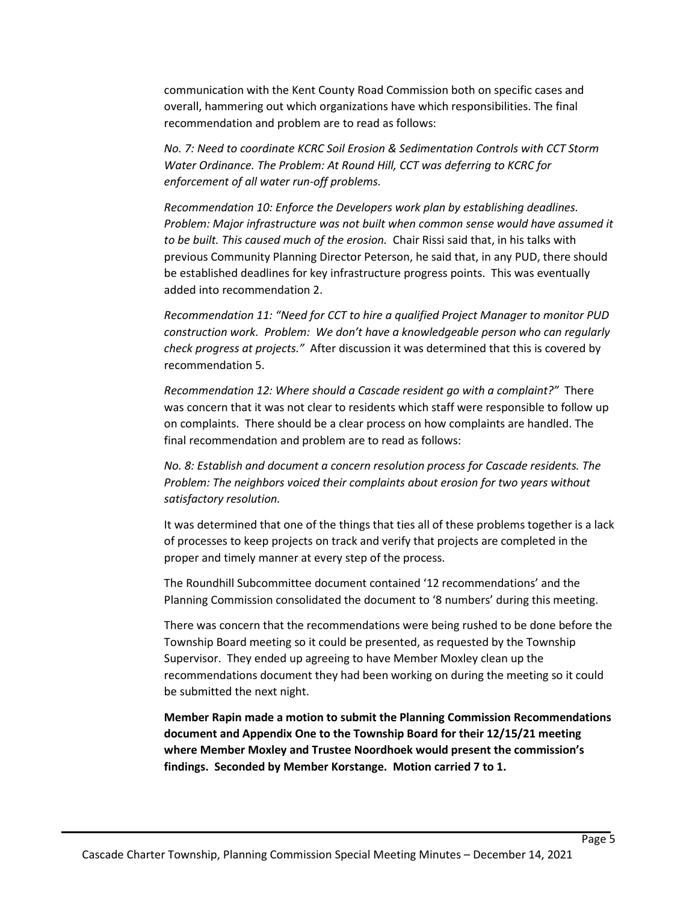communication with the Kent County Road Commission both on specific cases and overall, hammering out which organizations have which responsibilities. The final recommendation and problem are to read as follows:

*No. 7: Need to coordinate KCRC Soil Erosion & Sedimentation Controls with CCT Storm Water Ordinance. The Problem: At Round Hill, CCT was deferring to KCRC for enforcement of all water run-off problems.*

*Recommendation 10: Enforce the Developers work plan by establishing deadlines. Problem: Major infrastructure was not built when common sense would have assumed it to be built. This caused much of the erosion.* Chair Rissi said that, in his talks with previous Community Planning Director Peterson, he said that, in any PUD, there should be established deadlines for key infrastructure progress points. This was eventually added into recommendation 2.

*Recommendation 11: "Need for CCT to hire a qualified Project Manager to monitor PUD construction work. Problem: We don't have a knowledgeable person who can regularly check progress at projects."* After discussion it was determined that this is covered by recommendation 5.

*Recommendation 12: Where should a Cascade resident go with a complaint?"* There was concern that it was not clear to residents which staff were responsible to follow up on complaints. There should be a clear process on how complaints are handled. The final recommendation and problem are to read as follows:

*No. 8: Establish and document a concern resolution process for Cascade residents. The Problem: The neighbors voiced their complaints about erosion for two years without satisfactory resolution.*

It was determined that one of the things that ties all of these problems together is a lack of processes to keep projects on track and verify that projects are completed in the proper and timely manner at every step of the process.

The Roundhill Subcommittee document contained '12 recommendations' and the Planning Commission consolidated the document to '8 numbers' during this meeting.

There was concern that the recommendations were being rushed to be done before the Township Board meeting so it could be presented, as requested by the Township Supervisor. They ended up agreeing to have Member Moxley clean up the recommendations document they had been working on during the meeting so it could be submitted the next night.

**Member Rapin made a motion to submit the Planning Commission Recommendations document and Appendix One to the Township Board for their 12/15/21 meeting where Member Moxley and Trustee Noordhoek would present the commission's findings. Seconded by Member Korstange. Motion carried 7 to 1.**